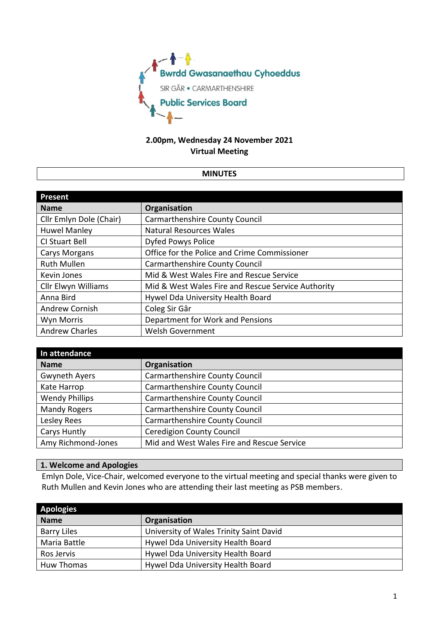

# **2.00pm, Wednesday 24 November 2021 Virtual Meeting**

### **MINUTES**

| Present                    |                                                    |
|----------------------------|----------------------------------------------------|
| <b>Name</b>                | Organisation                                       |
| Cllr Emlyn Dole (Chair)    | Carmarthenshire County Council                     |
| <b>Huwel Manley</b>        | <b>Natural Resources Wales</b>                     |
| CI Stuart Bell             | Dyfed Powys Police                                 |
| <b>Carys Morgans</b>       | Office for the Police and Crime Commissioner       |
| <b>Ruth Mullen</b>         | Carmarthenshire County Council                     |
| Kevin Jones                | Mid & West Wales Fire and Rescue Service           |
| <b>Cllr Elwyn Williams</b> | Mid & West Wales Fire and Rescue Service Authority |
| Anna Bird                  | Hywel Dda University Health Board                  |
| <b>Andrew Cornish</b>      | Coleg Sir Gâr                                      |
| Wyn Morris                 | Department for Work and Pensions                   |
| <b>Andrew Charles</b>      | <b>Welsh Government</b>                            |

| In attendance         |                                            |
|-----------------------|--------------------------------------------|
| <b>Name</b>           | Organisation                               |
| <b>Gwyneth Ayers</b>  | <b>Carmarthenshire County Council</b>      |
| Kate Harrop           | <b>Carmarthenshire County Council</b>      |
| <b>Wendy Phillips</b> | <b>Carmarthenshire County Council</b>      |
| <b>Mandy Rogers</b>   | <b>Carmarthenshire County Council</b>      |
| Lesley Rees           | <b>Carmarthenshire County Council</b>      |
| Carys Huntly          | <b>Ceredigion County Council</b>           |
| Amy Richmond-Jones    | Mid and West Wales Fire and Rescue Service |

## **1. Welcome and Apologies**

Emlyn Dole, Vice-Chair, welcomed everyone to the virtual meeting and special thanks were given to Ruth Mullen and Kevin Jones who are attending their last meeting as PSB members.

| <b>Apologies</b>   |                                         |
|--------------------|-----------------------------------------|
| <b>Name</b>        | <b>Organisation</b>                     |
| <b>Barry Liles</b> | University of Wales Trinity Saint David |
| Maria Battle       | Hywel Dda University Health Board       |
| Ros Jervis         | Hywel Dda University Health Board       |
| Huw Thomas         | Hywel Dda University Health Board       |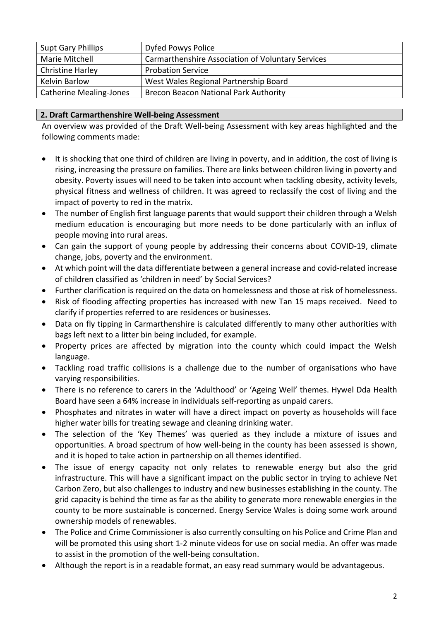| <b>Supt Gary Phillips</b>      | Dyfed Powys Police                                |
|--------------------------------|---------------------------------------------------|
| Marie Mitchell                 | Carmarthenshire Association of Voluntary Services |
| <b>Christine Harley</b>        | <b>Probation Service</b>                          |
| Kelvin Barlow                  | West Wales Regional Partnership Board             |
| <b>Catherine Mealing-Jones</b> | <b>Brecon Beacon National Park Authority</b>      |
|                                |                                                   |

## **2. Draft Carmarthenshire Well-being Assessment**

An overview was provided of the Draft Well-being Assessment with key areas highlighted and the following comments made:

- It is shocking that one third of children are living in poverty, and in addition, the cost of living is rising, increasing the pressure on families. There are links between children living in poverty and obesity. Poverty issues will need to be taken into account when tackling obesity, activity levels, physical fitness and wellness of children. It was agreed to reclassify the cost of living and the impact of poverty to red in the matrix.
- The number of English first language parents that would support their children through a Welsh medium education is encouraging but more needs to be done particularly with an influx of people moving into rural areas.
- Can gain the support of young people by addressing their concerns about COVID-19, climate change, jobs, poverty and the environment.
- At which point will the data differentiate between a general increase and covid-related increase of children classified as 'children in need' by Social Services?
- Further clarification is required on the data on homelessness and those at risk of homelessness.
- Risk of flooding affecting properties has increased with new Tan 15 maps received. Need to clarify if properties referred to are residences or businesses.
- Data on fly tipping in Carmarthenshire is calculated differently to many other authorities with bags left next to a litter bin being included, for example.
- Property prices are affected by migration into the county which could impact the Welsh language.
- Tackling road traffic collisions is a challenge due to the number of organisations who have varying responsibilities.
- There is no reference to carers in the 'Adulthood' or 'Ageing Well' themes. Hywel Dda Health Board have seen a 64% increase in individuals self-reporting as unpaid carers.
- Phosphates and nitrates in water will have a direct impact on poverty as households will face higher water bills for treating sewage and cleaning drinking water.
- The selection of the 'Key Themes' was queried as they include a mixture of issues and opportunities. A broad spectrum of how well-being in the county has been assessed is shown, and it is hoped to take action in partnership on all themes identified.
- The issue of energy capacity not only relates to renewable energy but also the grid infrastructure. This will have a significant impact on the public sector in trying to achieve Net Carbon Zero, but also challenges to industry and new businesses establishing in the county. The grid capacity is behind the time as far as the ability to generate more renewable energies in the county to be more sustainable is concerned. Energy Service Wales is doing some work around ownership models of renewables.
- The Police and Crime Commissioner is also currently consulting on his Police and Crime Plan and will be promoted this using short 1-2 minute videos for use on social media. An offer was made to assist in the promotion of the well-being consultation.
- Although the report is in a readable format, an easy read summary would be advantageous.